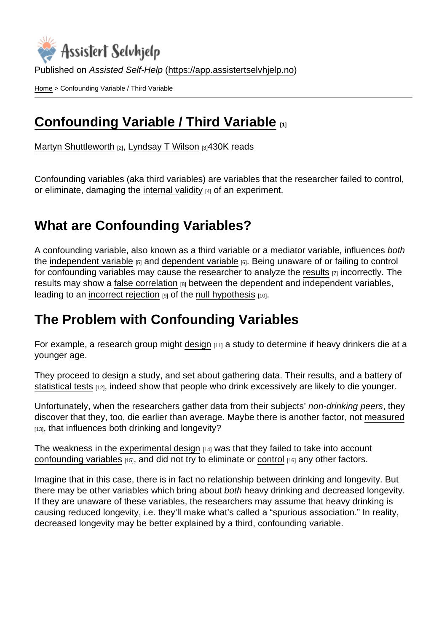Published on Assisted Self-Help [\(https://app.assistertselvhjelp.no](https://app.assistertselvhjelp.no))

[Home](https://app.assistertselvhjelp.no/en) > Confounding Variable / Third Variable

# [Confounding Variable / Third Variable](https://app.assistertselvhjelp.no/en/confounding-variables)  $_{11}$

[Martyn Shuttleworth](https://app.assistertselvhjelp.no/en/users/martyn) [2], [Lyndsay T Wilson](https://app.assistertselvhjelp.no/en/users/Lyndsay T Wilson) [3]430K reads

Confounding variables (aka third variables) are variables that the researcher failed to control, or eliminate, damaging the [internal validity](https://app.assistertselvhjelp.no/internal-validity) [4] of an experiment.

## What are Confounding Variables?

A confounding variable, also known as a third variable or a mediator variable, influences both the [independent variable](https://app.assistertselvhjelp.no/independent-variable)  $[5]$  and [dependent variable](https://app.assistertselvhjelp.no/dependent-variable)  $[6]$ . Being unaware of or failing to control for confounding variables may cause the researcher to analyze the [results](https://app.assistertselvhjelp.no/statistically-significant-results)  $\overline{z}$  incorrectly. The results may show a [false correlation](https://app.assistertselvhjelp.no/correlation-and-causation)  $B$  between the dependent and independent variables, leading to an [incorrect rejection](https://app.assistertselvhjelp.no/type-I-error)  $[9]$  of the [null hypothesis](https://app.assistertselvhjelp.no/null-hypothesis)  $[10]$ .

## The Problem with Confounding Variables

For example, a research group might [design](https://app.assistertselvhjelp.no/research-designs)  $[11]$  a study to determine if heavy drinkers die at a younger age.

They proceed to design a study, and set about gathering data. Their results, and a battery of [statistical tests](https://app.assistertselvhjelp.no/statistical-hypothesis-testing) [12], indeed show that people who drink excessively are likely to die younger.

Unfortunately, when the researchers gather data from their subjects' non-drinking peers, they discover that they, too, die earlier than average. Maybe there is another factor, not [measured](https://app.assistertselvhjelp.no/scientific-measurements) [13], that influences both drinking and longevity?

The weakness in the [experimental design](https://app.assistertselvhjelp.no/experimental-research)  $[14]$  was that they failed to take into account [confounding variables](http://encyclopedia.thefreedictionary.com/Confounding+variable)  $[15]$ , and did not try to eliminate or [control](https://app.assistertselvhjelp.no/controlled-variables)  $[16]$  any other factors.

Imagine that in this case, there is in fact no relationship between drinking and longevity. But there may be other variables which bring about both heavy drinking and decreased longevity. If they are unaware of these variables, the researchers may assume that heavy drinking is causing reduced longevity, i.e. they'll make what's called a "spurious association." In reality, decreased longevity may be better explained by a third, confounding variable.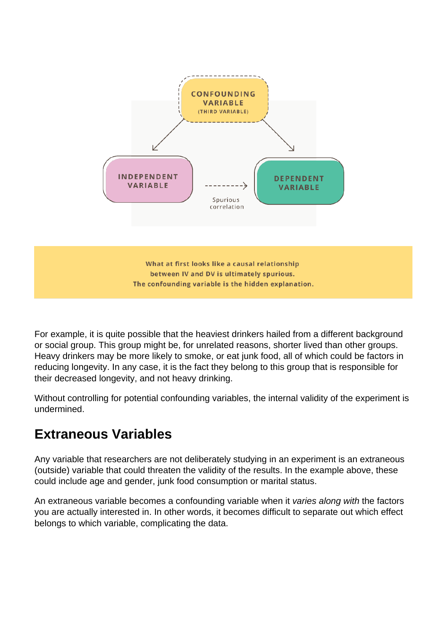

What at first looks like a causal relationship between IV and DV is ultimately spurious. The confounding variable is the hidden explanation.

For example, it is quite possible that the heaviest drinkers hailed from a different background or social group. This group might be, for unrelated reasons, shorter lived than other groups. Heavy drinkers may be more likely to smoke, or eat junk food, all of which could be factors in reducing longevity. In any case, it is the fact they belong to this group that is responsible for their decreased longevity, and not heavy drinking.

Without controlling for potential confounding variables, the internal validity of the experiment is undermined.

## **Extraneous Variables**

Any variable that researchers are not deliberately studying in an experiment is an extraneous (outside) variable that could threaten the validity of the results. In the example above, these could include age and gender, junk food consumption or marital status.

An extraneous variable becomes a confounding variable when it varies along with the factors you are actually interested in. In other words, it becomes difficult to separate out which effect belongs to which variable, complicating the data.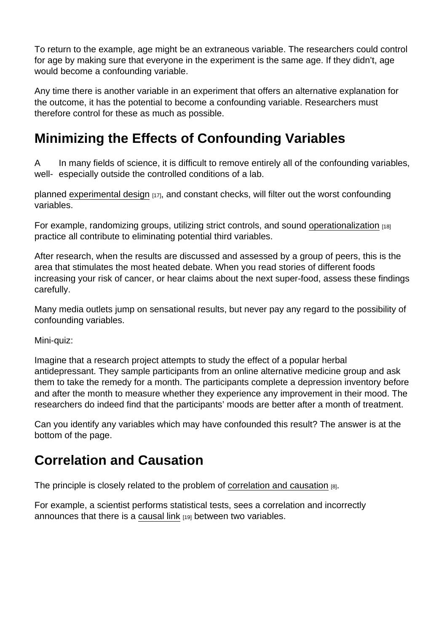To return to the example, age might be an extraneous variable. The researchers could control for age by making sure that everyone in the experiment is the same age. If they didn't, age would become a confounding variable.

Any time there is another variable in an experiment that offers an alternative explanation for the outcome, it has the potential to become a confounding variable. Researchers must therefore control for these as much as possible.

# Minimizing the Effects of Confounding Variables

In many fields of science, it is difficult to remove entirely all of the confounding variables, well- especially outside the controlled conditions of a lab. A

planned [experimental design](https://app.assistertselvhjelp.no/true-experimental-design) [17], and constant checks, will filter out the worst confounding variables.

For example, randomizing groups, utilizing strict controls, and sound [operationalization](https://app.assistertselvhjelp.no/operationalization) [18] practice all contribute to eliminating potential third variables.

After research, when the results are discussed and assessed by a group of peers, this is the area that stimulates the most heated debate. When you read stories of different foods increasing your risk of cancer, or hear claims about the next super-food, assess these findings carefully.

Many media outlets jump on sensational results, but never pay any regard to the possibility of confounding variables.

Mini-quiz:

Imagine that a research project attempts to study the effect of a popular herbal antidepressant. They sample participants from an online alternative medicine group and ask them to take the remedy for a month. The participants complete a depression inventory before and after the month to measure whether they experience any improvement in their mood. The researchers do indeed find that the participants' moods are better after a month of treatment.

Can you identify any variables which may have confounded this result? The answer is at the bottom of the page.

## Correlation and Causation

The principle is closely related to the problem of [correlation and causation](https://app.assistertselvhjelp.no/correlation-and-causation) [8].

For example, a scientist performs statistical tests, sees a correlation and incorrectly announces that there is a [causal link](https://app.assistertselvhjelp.no/causal-reasoning) [19] between two variables.